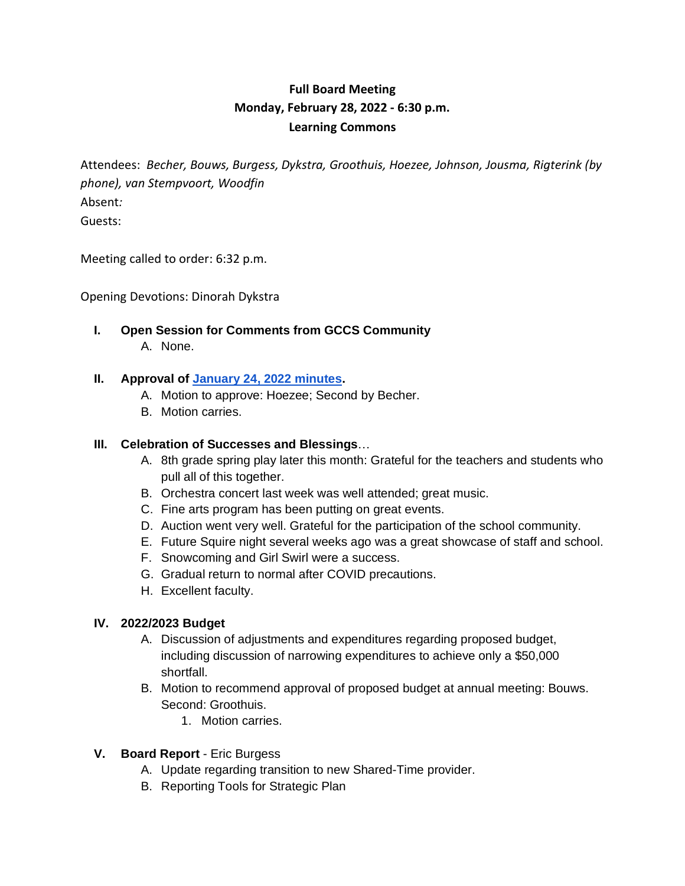# **Full Board Meeting Monday, February 28, 2022 - 6:30 p.m. Learning Commons**

Attendees: *Becher, Bouws, Burgess, Dykstra, Groothuis, Hoezee, Johnson, Jousma, Rigterink (by phone), van Stempvoort, Woodfin* Absent*:* Guests:

Meeting called to order: 6:32 p.m.

Opening Devotions: Dinorah Dykstra

**I. Open Session for Comments from GCCS Community** A. None.

#### **II. Approval of January 24, 2022 minutes.**

- A. Motion to approve: Hoezee; Second by Becher.
- B. Motion carries.

#### **III. Celebration of Successes and Blessings**…

- A. 8th grade spring play later this month: Grateful for the teachers and students who pull all of this together.
- B. Orchestra concert last week was well attended; great music.
- C. Fine arts program has been putting on great events.
- D. Auction went very well. Grateful for the participation of the school community.
- E. Future Squire night several weeks ago was a great showcase of staff and school.
- F. Snowcoming and Girl Swirl were a success.
- G. Gradual return to normal after COVID precautions.
- H. Excellent faculty.

#### **IV. 2022/2023 Budget**

- A. Discussion of adjustments and expenditures regarding proposed budget, including discussion of narrowing expenditures to achieve only a \$50,000 shortfall.
- B. Motion to recommend approval of proposed budget at annual meeting: Bouws. Second: Groothuis.
	- 1. Motion carries.
- **V. Board Report** Eric Burgess
	- A. Update regarding transition to new Shared-Time provider.
	- B. Reporting Tools for Strategic Plan